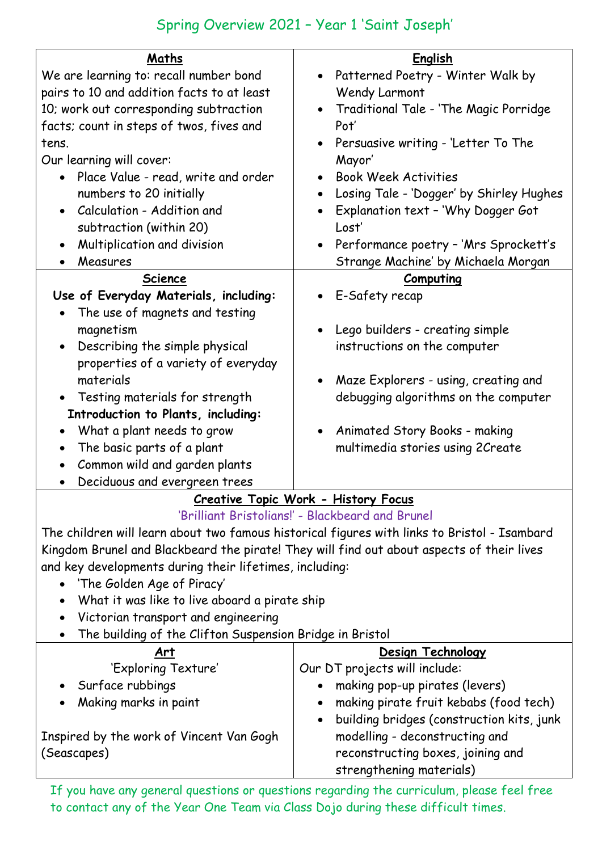| Maths<br>We are learning to: recall number bond<br>pairs to 10 and addition facts to at least<br>10; work out corresponding subtraction<br>facts; count in steps of twos, fives and<br>tens.<br>Our learning will cover:<br>Place Value - read, write and order<br>$\bullet$<br>numbers to 20 initially<br>Calculation - Addition and<br>subtraction (within 20)<br>Multiplication and division<br>Measures<br><b>Science</b><br>Use of Everyday Materials, including:                     | English<br>Patterned Poetry - Winter Walk by<br>Wendy Larmont<br>Traditional Tale - 'The Magic Porridge<br>Pot'<br>Persuasive writing - 'Letter To The<br>$\bullet$<br>Mayor'<br><b>Book Week Activities</b><br>Losing Tale - 'Dogger' by Shirley Hughes<br>Explanation text - 'Why Dogger Got<br>Lost'<br>Performance poetry - 'Mrs Sprockett's<br>$\bullet$<br>Strange Machine' by Michaela Morgan<br>Computing<br>E-Safety recap |
|--------------------------------------------------------------------------------------------------------------------------------------------------------------------------------------------------------------------------------------------------------------------------------------------------------------------------------------------------------------------------------------------------------------------------------------------------------------------------------------------|-------------------------------------------------------------------------------------------------------------------------------------------------------------------------------------------------------------------------------------------------------------------------------------------------------------------------------------------------------------------------------------------------------------------------------------|
| The use of magnets and testing<br>magnetism<br>Describing the simple physical<br>properties of a variety of everyday<br>materials<br>Testing materials for strength<br>Introduction to Plants, including:<br>What a plant needs to grow<br>The basic parts of a plant<br>Common wild and garden plants<br>Deciduous and evergreen trees                                                                                                                                                    | Lego builders - creating simple<br>instructions on the computer<br>Maze Explorers - using, creating and<br>debugging algorithms on the computer<br>Animated Story Books - making<br>multimedia stories using 2Create                                                                                                                                                                                                                |
| <b>Creative Topic Work - History Focus</b>                                                                                                                                                                                                                                                                                                                                                                                                                                                 |                                                                                                                                                                                                                                                                                                                                                                                                                                     |
| 'Brilliant Bristolians!' - Blackbeard and Brunel<br>The children will learn about two famous historical figures with links to Bristol - Isambard<br>Kingdom Brunel and Blackbeard the pirate! They will find out about aspects of their lives<br>and key developments during their lifetimes, including:<br>'The Golden Age of Piracy'<br>What it was like to live aboard a pirate ship<br>Victorian transport and engineering<br>The building of the Clifton Suspension Bridge in Bristol |                                                                                                                                                                                                                                                                                                                                                                                                                                     |
| Art<br>'Exploring Texture'                                                                                                                                                                                                                                                                                                                                                                                                                                                                 | Design Technology<br>Our DT projects will include:                                                                                                                                                                                                                                                                                                                                                                                  |
| Surface rubbings                                                                                                                                                                                                                                                                                                                                                                                                                                                                           | making pop-up pirates (levers)                                                                                                                                                                                                                                                                                                                                                                                                      |

Making marks in paint

Inspired by the work of Vincent Van Gogh (Seascapes)

If you have any general questions or questions regarding the curriculum, please feel free to contact any of the Year One Team via Class Dojo during these difficult times. strengthening materials)

 making pirate fruit kebabs (food tech) building bridges (construction kits, junk

modelling - deconstructing and reconstructing boxes, joining and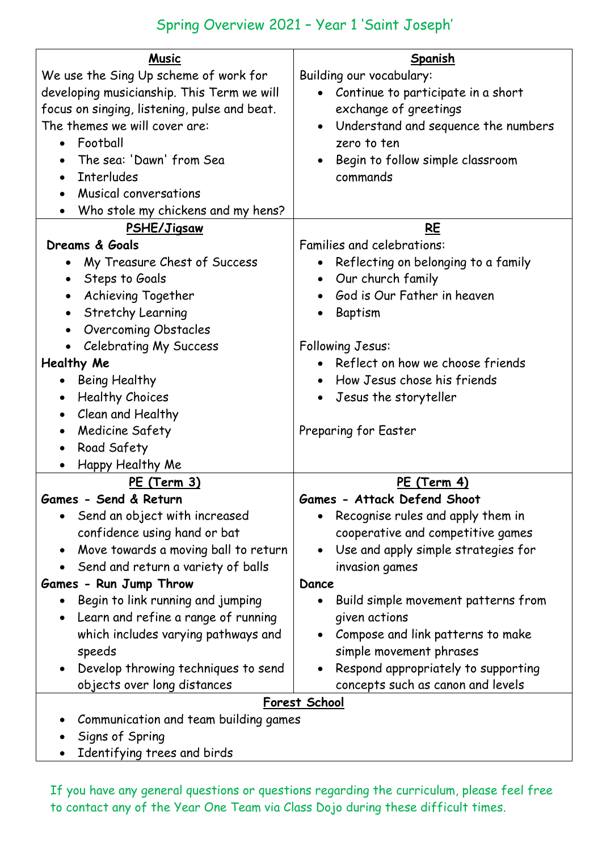| <b>Music</b>                                      | Spanish                                          |
|---------------------------------------------------|--------------------------------------------------|
| We use the Sing Up scheme of work for             | Building our vocabulary:                         |
| developing musicianship. This Term we will        | • Continue to participate in a short             |
| focus on singing, listening, pulse and beat.      | exchange of greetings                            |
| The themes we will cover are:                     | Understand and sequence the numbers<br>$\bullet$ |
| Football                                          | zero to ten                                      |
| The sea: 'Dawn' from Sea                          | Begin to follow simple classroom                 |
| <b>Interludes</b><br>$\bullet$                    | commands                                         |
| Musical conversations<br>$\bullet$                |                                                  |
| Who stole my chickens and my hens?                |                                                  |
| PSHE/Jigsaw                                       | <b>RE</b>                                        |
| Dreams & Goals                                    | Families and celebrations:                       |
| My Treasure Chest of Success<br>$\bullet$         | Reflecting on belonging to a family<br>$\bullet$ |
| Steps to Goals<br>$\bullet$                       | Our church family<br>$\bullet$                   |
| Achieving Together                                | God is Our Father in heaven                      |
| <b>Stretchy Learning</b>                          | Baptism                                          |
| <b>Overcoming Obstacles</b>                       |                                                  |
| <b>Celebrating My Success</b><br>$\bullet$        | Following Jesus:                                 |
| Healthy Me                                        | Reflect on how we choose friends                 |
| Being Healthy<br>$\bullet$                        | How Jesus chose his friends                      |
| <b>Healthy Choices</b><br>$\bullet$               | Jesus the storyteller                            |
| Clean and Healthy<br>$\bullet$                    |                                                  |
| Medicine Safety<br>$\bullet$                      | Preparing for Easter                             |
| Road Safety<br>$\bullet$                          |                                                  |
| Happy Healthy Me                                  |                                                  |
| PE (Term 3)                                       | PE (Term 4)                                      |
| Games - Send & Return                             | <b>Games - Attack Defend Shoot</b>               |
| Send an object with increased                     | Recognise rules and apply them in<br>$\bullet$   |
| confidence using hand or bat                      | cooperative and competitive games                |
| Move towards a moving ball to return<br>$\bullet$ | Use and apply simple strategies for<br>$\bullet$ |
| Send and return a variety of balls                | invasion games                                   |
| Games - Run Jump Throw                            | Dance                                            |
| Begin to link running and jumping<br>$\bullet$    | Build simple movement patterns from<br>$\bullet$ |
| Learn and refine a range of running<br>$\bullet$  | given actions                                    |
| which includes varying pathways and               | Compose and link patterns to make                |
| speeds                                            | simple movement phrases                          |
| Develop throwing techniques to send<br>$\bullet$  | Respond appropriately to supporting              |
| objects over long distances                       | concepts such as canon and levels                |
| Forest School                                     |                                                  |
| Communication and team building games             |                                                  |

- Signs of Spring
- Identifying trees and birds

If you have any general questions or questions regarding the curriculum, please feel free to contact any of the Year One Team via Class Dojo during these difficult times.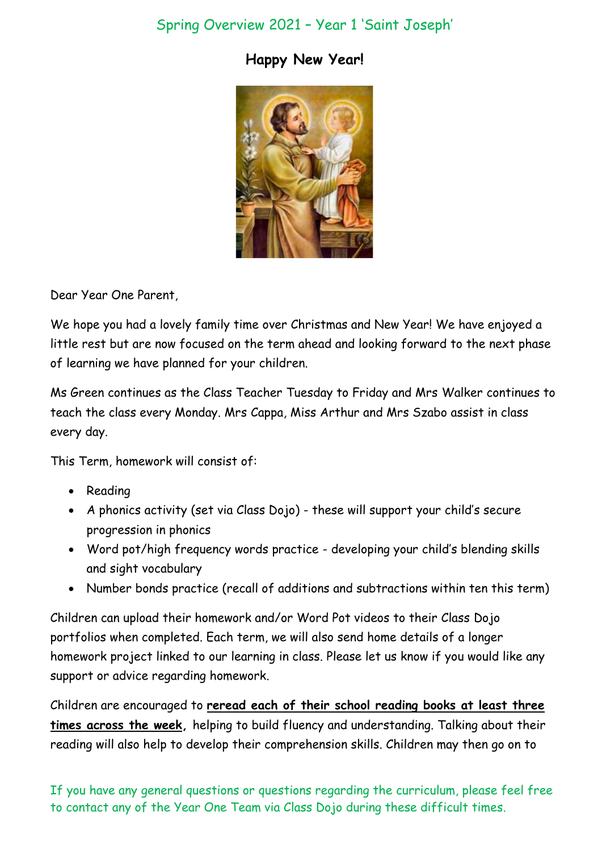#### **Happy New Year!**



Dear Year One Parent,

We hope you had a lovely family time over Christmas and New Year! We have enjoyed a little rest but are now focused on the term ahead and looking forward to the next phase of learning we have planned for your children.

Ms Green continues as the Class Teacher Tuesday to Friday and Mrs Walker continues to teach the class every Monday. Mrs Cappa, Miss Arthur and Mrs Szabo assist in class every day.

This Term, homework will consist of:

- Reading
- A phonics activity (set via Class Dojo) these will support your child's secure progression in phonics
- Word pot/high frequency words practice developing your child's blending skills and sight vocabulary
- Number bonds practice (recall of additions and subtractions within ten this term)

Children can upload their homework and/or Word Pot videos to their Class Dojo portfolios when completed. Each term, we will also send home details of a longer homework project linked to our learning in class. Please let us know if you would like any support or advice regarding homework.

Children are encouraged to **reread each of their school reading books at least three times across the week,** helping to build fluency and understanding. Talking about their reading will also help to develop their comprehension skills. Children may then go on to